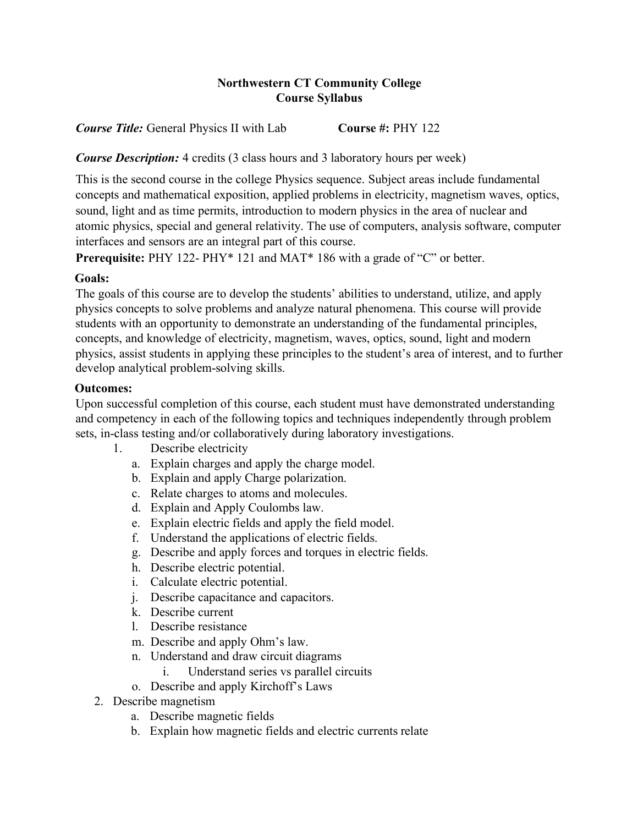# **Northwestern CT Community College Course Syllabus**

**Course Title:** General Physics II with Lab **Course #:** PHY 122

### *Course Description:* 4 credits (3 class hours and 3 laboratory hours per week)

This is the second course in the college Physics sequence. Subject areas include fundamental concepts and mathematical exposition, applied problems in electricity, magnetism waves, optics, sound, light and as time permits, introduction to modern physics in the area of nuclear and atomic physics, special and general relativity. The use of computers, analysis software, computer interfaces and sensors are an integral part of this course.

**Prerequisite: PHY 122- PHY\* 121 and MAT\* 186 with a grade of "C" or better.** 

#### **Goals:**

The goals of this course are to develop the students' abilities to understand, utilize, and apply physics concepts to solve problems and analyze natural phenomena. This course will provide students with an opportunity to demonstrate an understanding of the fundamental principles, concepts, and knowledge of electricity, magnetism, waves, optics, sound, light and modern physics, assist students in applying these principles to the student's area of interest, and to further develop analytical problem-solving skills.

#### **Outcomes:**

Upon successful completion of this course, each student must have demonstrated understanding and competency in each of the following topics and techniques independently through problem sets, in-class testing and/or collaboratively during laboratory investigations.

- 1. Describe electricity
	- a. Explain charges and apply the charge model.
	- b. Explain and apply Charge polarization.
	- c. Relate charges to atoms and molecules.
	- d. Explain and Apply Coulombs law.
	- e. Explain electric fields and apply the field model.
	- f. Understand the applications of electric fields.
	- g. Describe and apply forces and torques in electric fields.
	- h. Describe electric potential.
	- i. Calculate electric potential.
	- j. Describe capacitance and capacitors.
	- k. Describe current
	- l. Describe resistance
	- m. Describe and apply Ohm's law.
	- n. Understand and draw circuit diagrams
		- i. Understand series vs parallel circuits
	- o. Describe and apply Kirchoff's Laws
- 2. Describe magnetism
	- a. Describe magnetic fields
	- b. Explain how magnetic fields and electric currents relate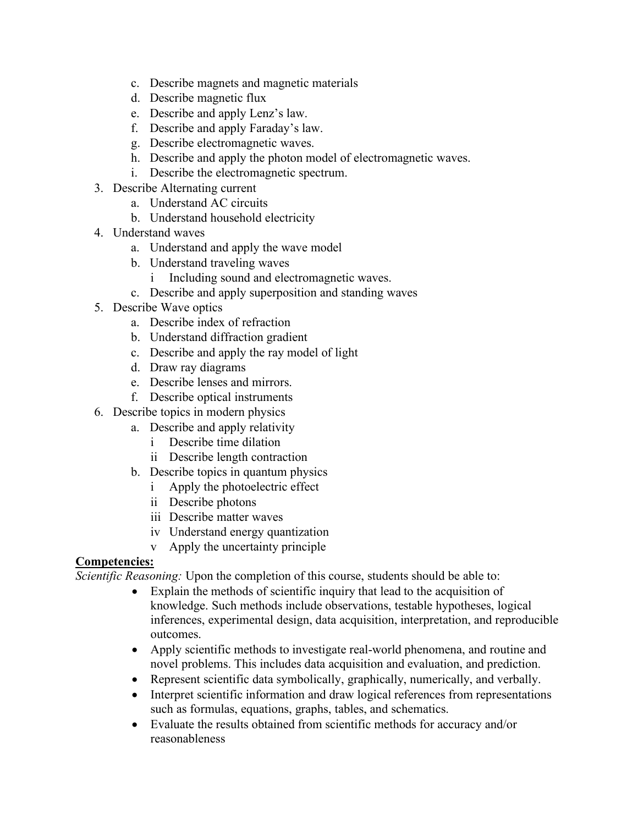- c. Describe magnets and magnetic materials
- d. Describe magnetic flux
- e. Describe and apply Lenz's law.
- f. Describe and apply Faraday's law.
- g. Describe electromagnetic waves.
- h. Describe and apply the photon model of electromagnetic waves.
- i. Describe the electromagnetic spectrum.
- 3. Describe Alternating current
	- a. Understand AC circuits
		- b. Understand household electricity
- 4. Understand waves
	- a. Understand and apply the wave model
	- b. Understand traveling waves
		- Including sound and electromagnetic waves.
	- c. Describe and apply superposition and standing waves
- 5. Describe Wave optics
	- a. Describe index of refraction
	- b. Understand diffraction gradient
	- c. Describe and apply the ray model of light
	- d. Draw ray diagrams
	- e. Describe lenses and mirrors.
	- f. Describe optical instruments
- 6. Describe topics in modern physics
	- a. Describe and apply relativity
		- i Describe time dilation
		- ii Describe length contraction
	- b. Describe topics in quantum physics
		- i Apply the photoelectric effect
		- ii Describe photons
		- iii Describe matter waves
		- iv Understand energy quantization
		- v Apply the uncertainty principle

# **Competencies:**

*Scientific Reasoning:* Upon the completion of this course, students should be able to:

- Explain the methods of scientific inquiry that lead to the acquisition of knowledge. Such methods include observations, testable hypotheses, logical inferences, experimental design, data acquisition, interpretation, and reproducible outcomes.
- Apply scientific methods to investigate real-world phenomena, and routine and novel problems. This includes data acquisition and evaluation, and prediction.
- Represent scientific data symbolically, graphically, numerically, and verbally.
- Interpret scientific information and draw logical references from representations such as formulas, equations, graphs, tables, and schematics.
- Evaluate the results obtained from scientific methods for accuracy and/or reasonableness